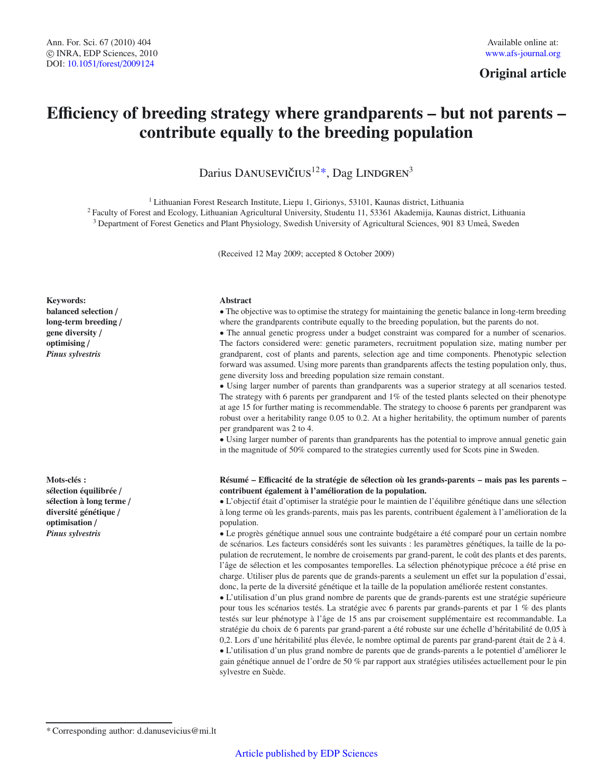**Original article**

# **E**ffi**ciency of breeding strategy where grandparents – but not parents – contribute equally to the breeding population**

Darius DANUSEVIČIUS<sup>12\*</sup>, Dag LINDGREN<sup>3</sup>

<sup>1</sup> Lithuanian Forest Research Institute, Liepu 1, Girionys, 53101, Kaunas district, Lithuania <sup>2</sup> Faculty of Forest and Ecology, Lithuanian Agricultural University, Studentu 11, 53361 Akademija, Kaunas district, Lithuania <sup>3</sup> Department of Forest Genetics and Plant Physiology, Swedish University of Agricultural Sciences, 901 83 Umeå, Sweden

(Received 12 May 2009; accepted 8 October 2009)

#### **Keywords: balanced selection** / **long-term breeding** / **gene diversity** / **optimising** / *Pinus sylvestris*

**Mots-clés : sélection équilibrée** / **sélection à long terme** / **diversité génétique** / **optimisation** / *Pinus sylvestris*

#### **Abstract**

• The objective was to optimise the strategy for maintaining the genetic balance in long-term breeding where the grandparents contribute equally to the breeding population, but the parents do not.

• The annual genetic progress under a budget constraint was compared for a number of scenarios. The factors considered were: genetic parameters, recruitment population size, mating number per grandparent, cost of plants and parents, selection age and time components. Phenotypic selection forward was assumed. Using more parents than grandparents affects the testing population only, thus, gene diversity loss and breeding population size remain constant.

• Using larger number of parents than grandparents was a superior strategy at all scenarios tested. The strategy with 6 parents per grandparent and  $1\%$  of the tested plants selected on their phenotype at age 15 for further mating is recommendable. The strategy to choose 6 parents per grandparent was robust over a heritability range 0.05 to 0.2. At a higher heritability, the optimum number of parents per grandparent was 2 to 4.

• Using larger number of parents than grandparents has the potential to improve annual genetic gain in the magnitude of 50% compared to the strategies currently used for Scots pine in Sweden.

#### **Résumé – E**ffi**cacité de la stratégie de sélection où les grands-parents – mais pas les parents – contribuent également à l'amélioration de la population.**

• L'objectif était d'optimiser la stratégie pour le maintien de l'équilibre génétique dans une sélection à long terme où les grands-parents, mais pas les parents, contribuent également à l'amélioration de la population.

• Le progrès génétique annuel sous une contrainte budgétaire a été comparé pour un certain nombre de scénarios. Les facteurs considérés sont les suivants : les paramètres génétiques, la taille de la population de recrutement, le nombre de croisements par grand-parent, le coût des plants et des parents, l'âge de sélection et les composantes temporelles. La sélection phénotypique précoce a été prise en charge. Utiliser plus de parents que de grands-parents a seulement un effet sur la population d'essai, donc, la perte de la diversité génétique et la taille de la population améliorée restent constantes.

• L'utilisation d'un plus grand nombre de parents que de grands-parents est une stratégie supérieure pour tous les scénarios testés. La stratégie avec 6 parents par grands-parents et par 1 % des plants testés sur leur phénotype à l'âge de 15 ans par croisement supplémentaire est recommandable. La stratégie du choix de 6 parents par grand-parent a été robuste sur une échelle d'héritabilité de 0,05 à 0,2. Lors d'une héritabilité plus élevée, le nombre optimal de parents par grand-parent était de 2 à 4. • L'utilisation d'un plus grand nombre de parents que de grands-parents a le potentiel d'améliorer le gain génétique annuel de l'ordre de 50 % par rapport aux stratégies utilisées actuellement pour le pin sylvestre en Suède.

<sup>\*</sup> Corresponding author: d.danusevicius@mi.lt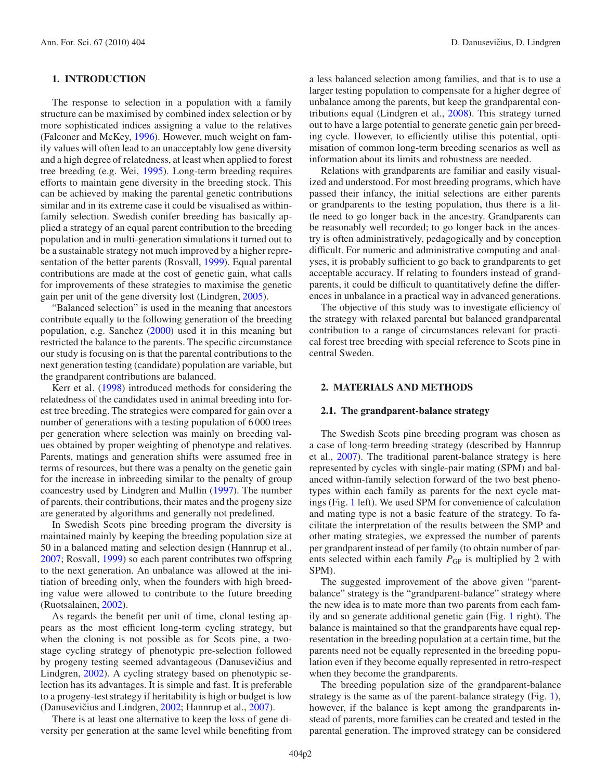# **1. INTRODUCTION**

The response to selection in a population with a family structure can be maximised by combined index selection or by more sophisticated indices assigning a value to the relatives (Falconer and McKey, [1996\)](#page-8-0). However, much weight on family values will often lead to an unacceptably low gene diversity and a high degree of relatedness, at least when applied to forest tree breeding (e.g. Wei, [1995](#page-8-1)). Long-term breeding requires efforts to maintain gene diversity in the breeding stock. This can be achieved by making the parental genetic contributions similar and in its extreme case it could be visualised as withinfamily selection. Swedish conifer breeding has basically applied a strategy of an equal parent contribution to the breeding population and in multi-generation simulations it turned out to be a sustainable strategy not much improved by a higher representation of the better parents (Rosvall, [1999\)](#page-8-2). Equal parental contributions are made at the cost of genetic gain, what calls for improvements of these strategies to maximise the genetic gain per unit of the gene diversity lost (Lindgren, [2005\)](#page-8-3).

"Balanced selection" is used in the meaning that ancestors contribute equally to the following generation of the breeding population, e.g. Sanchez [\(2000](#page-8-4)) used it in this meaning but restricted the balance to the parents. The specific circumstance our study is focusing on is that the parental contributions to the next generation testing (candidate) population are variable, but the grandparent contributions are balanced.

Kerr et al. [\(1998\)](#page-8-5) introduced methods for considering the relatedness of the candidates used in animal breeding into forest tree breeding. The strategies were compared for gain over a number of generations with a testing population of 6 000 trees per generation where selection was mainly on breeding values obtained by proper weighting of phenotype and relatives. Parents, matings and generation shifts were assumed free in terms of resources, but there was a penalty on the genetic gain for the increase in inbreeding similar to the penalty of group coancestry used by Lindgren and Mullin [\(1997\)](#page-8-6). The number of parents, their contributions, their mates and the progeny size are generated by algorithms and generally not predefined.

In Swedish Scots pine breeding program the diversity is maintained mainly by keeping the breeding population size at 50 in a balanced mating and selection design (Hannrup et al., [2007;](#page-8-7) Rosvall, [1999\)](#page-8-2) so each parent contributes two offspring to the next generation. An unbalance was allowed at the initiation of breeding only, when the founders with high breeding value were allowed to contribute to the future breeding (Ruotsalainen, [2002\)](#page-8-8).

As regards the benefit per unit of time, clonal testing appears as the most efficient long-term cycling strategy, but when the cloning is not possible as for Scots pine, a twostage cycling strategy of phenotypic pre-selection followed by progeny testing seemed advantageous (Danusevičius and Lindgren, [2002\)](#page-8-9). A cycling strategy based on phenotypic selection has its advantages. It is simple and fast. It is preferable to a progeny-test strategy if heritability is high or budget is low (Danusevičius and Lindgren, [2002;](#page-8-9) Hannrup et al., [2007](#page-8-7)).

There is at least one alternative to keep the loss of gene diversity per generation at the same level while benefiting from a less balanced selection among families, and that is to use a larger testing population to compensate for a higher degree of unbalance among the parents, but keep the grandparental contributions equal (Lindgren et al., [2008\)](#page-8-10). This strategy turned out to have a large potential to generate genetic gain per breeding cycle. However, to efficiently utilise this potential, optimisation of common long-term breeding scenarios as well as information about its limits and robustness are needed.

Relations with grandparents are familiar and easily visualized and understood. For most breeding programs, which have passed their infancy, the initial selections are either parents or grandparents to the testing population, thus there is a little need to go longer back in the ancestry. Grandparents can be reasonably well recorded; to go longer back in the ancestry is often administratively, pedagogically and by conception difficult. For numeric and administrative computing and analyses, it is probably sufficient to go back to grandparents to get acceptable accuracy. If relating to founders instead of grandparents, it could be difficult to quantitatively define the differences in unbalance in a practical way in advanced generations.

The objective of this study was to investigate efficiency of the strategy with relaxed parental but balanced grandparental contribution to a range of circumstances relevant for practical forest tree breeding with special reference to Scots pine in central Sweden.

#### **2. MATERIALS AND METHODS**

## **2.1. The grandparent-balance strategy**

The Swedish Scots pine breeding program was chosen as a case of long-term breeding strategy (described by Hannrup et al., [2007\)](#page-8-7). The traditional parent-balance strategy is here represented by cycles with single-pair mating (SPM) and balanced within-family selection forward of the two best phenotypes within each family as parents for the next cycle matings (Fig. [1](#page-2-0) left). We used SPM for convenience of calculation and mating type is not a basic feature of the strategy. To facilitate the interpretation of the results between the SMP and other mating strategies, we expressed the number of parents per grandparent instead of per family (to obtain number of parents selected within each family  $P_{GP}$  is multiplied by 2 with SPM).

The suggested improvement of the above given "parentbalance" strategy is the "grandparent-balance" strategy where the new idea is to mate more than two parents from each family and so generate additional genetic gain (Fig. [1](#page-2-0) right). The balance is maintained so that the grandparents have equal representation in the breeding population at a certain time, but the parents need not be equally represented in the breeding population even if they become equally represented in retro-respect when they become the grandparents.

The breeding population size of the grandparent-balance strategy is the same as of the parent-balance strategy (Fig. [1\)](#page-2-0), however, if the balance is kept among the grandparents instead of parents, more families can be created and tested in the parental generation. The improved strategy can be considered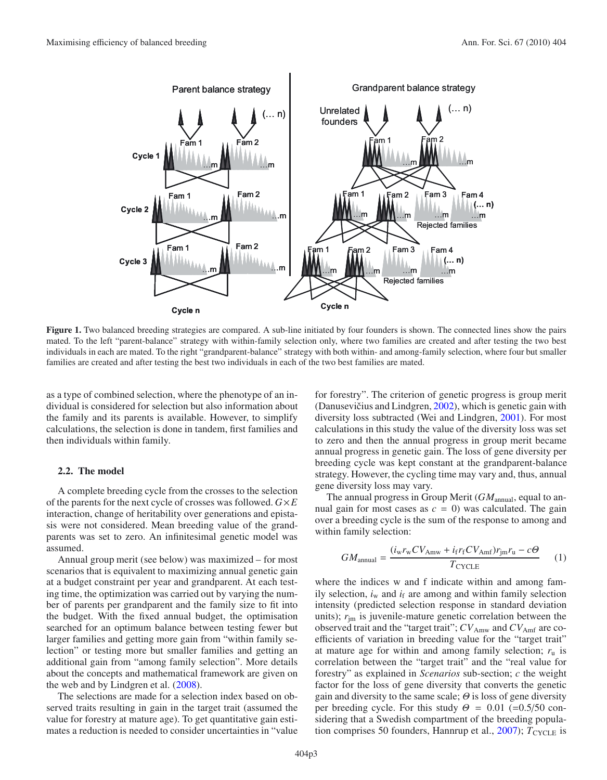

<span id="page-2-0"></span>**Figure 1.** Two balanced breeding strategies are compared. A sub-line initiated by four founders is shown. The connected lines show the pairs mated. To the left "parent-balance" strategy with within-family selection only, where two families are created and after testing the two best individuals in each are mated. To the right "grandparent-balance" strategy with both within- and among-family selection, where four but smaller families are created and after testing the best two individuals in each of the two best families are mated.

as a type of combined selection, where the phenotype of an individual is considered for selection but also information about the family and its parents is available. However, to simplify calculations, the selection is done in tandem, first families and then individuals within family.

### **2.2. The model**

A complete breeding cycle from the crosses to the selection of the parents for the next cycle of crosses was followed. *G*×*E* interaction, change of heritability over generations and epistasis were not considered. Mean breeding value of the grandparents was set to zero. An infinitesimal genetic model was assumed.

Annual group merit (see below) was maximized – for most scenarios that is equivalent to maximizing annual genetic gain at a budget constraint per year and grandparent. At each testing time, the optimization was carried out by varying the number of parents per grandparent and the family size to fit into the budget. With the fixed annual budget, the optimisation searched for an optimum balance between testing fewer but larger families and getting more gain from "within family selection" or testing more but smaller families and getting an additional gain from "among family selection". More details about the concepts and mathematical framework are given on the web and by Lindgren et al. [\(2008\)](#page-8-10).

The selections are made for a selection index based on observed traits resulting in gain in the target trait (assumed the value for forestry at mature age). To get quantitative gain estimates a reduction is needed to consider uncertainties in "value

for forestry". The criterion of genetic progress is group merit (Danusevičius and Lindgren,  $2002$ ), which is genetic gain with diversity loss subtracted (Wei and Lindgren, [2001\)](#page-8-11). For most calculations in this study the value of the diversity loss was set to zero and then the annual progress in group merit became annual progress in genetic gain. The loss of gene diversity per breeding cycle was kept constant at the grandparent-balance strategy. However, the cycling time may vary and, thus, annual gene diversity loss may vary.

The annual progress in Group Merit (*GM*<sub>annual</sub>, equal to annual gain for most cases as  $c = 0$ ) was calculated. The gain over a breeding cycle is the sum of the response to among and within family selection:

$$
GM_{\text{annual}} = \frac{(i_{\text{w}}r_{\text{w}}CV_{\text{Amw}} + i_{\text{f}}r_{\text{f}}CV_{\text{Amf}})r_{\text{jm}}r_{\text{u}} - c\Theta}{T_{\text{CYCLE}}} \tag{1}
$$

where the indices w and f indicate within and among family selection,  $i_w$  and  $i_f$  are among and within family selection intensity (predicted selection response in standard deviation units);  $r_{\text{im}}$  is juvenile-mature genetic correlation between the observed trait and the "target trait";  $CV_{Amu}$  and  $CV_{Amf}$  are coefficients of variation in breeding value for the "target trait" at mature age for within and among family selection;  $r<sub>u</sub>$  is correlation between the "target trait" and the "real value for forestry" as explained in *Scenarios* sub-section; *c* the weight factor for the loss of gene diversity that converts the genetic gain and diversity to the same scale;  $\Theta$  is loss of gene diversity per breeding cycle. For this study  $\Theta = 0.01$  (=0.5/50 considering that a Swedish compartment of the breeding population comprises 50 founders, Hannrup et al.,  $2007$ );  $T_{\text{CYCLE}}$  is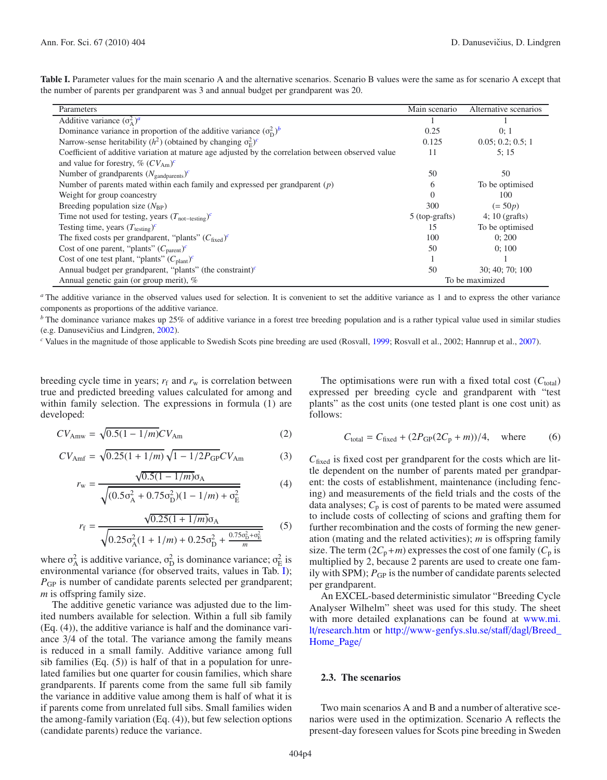<span id="page-3-2"></span><span id="page-3-1"></span><span id="page-3-0"></span>

| Parameters                                                                                         | Main scenario   | Alternative scenarios |  |  |
|----------------------------------------------------------------------------------------------------|-----------------|-----------------------|--|--|
| Additive variance $(\sigma_{\Delta}^2)^a$                                                          |                 |                       |  |  |
| Dominance variance in proportion of the additive variance $(\sigma_{\rm D}^2)^b$                   | 0.25            | 0:1                   |  |  |
| Narrow-sense heritability $(h^2)$ (obtained by changing $\sigma_F^2$ ) <sup>c</sup>                | 0.125           | 0.05; 0.2; 0.5; 1     |  |  |
| Coefficient of additive variation at mature age adjusted by the correlation between observed value | 11              | 5:15                  |  |  |
| and value for forestry, % $(CV_{Am})^c$                                                            |                 |                       |  |  |
| Number of grandparents $(N_{\text{gandparents}})^c$                                                | 50              | 50                    |  |  |
| Number of parents mated within each family and expressed per grandparent $(p)$                     | 6               | To be optimised       |  |  |
| Weight for group coancestry                                                                        | $\Omega$        | 100                   |  |  |
| Breeding population size $(N_{\rm BP})$                                                            | 300             | $( = 50p)$            |  |  |
| Time not used for testing, years $(T_{\text{not-testing}})^c$                                      | 5 (top-grafts)  | $4:10$ (grafts)       |  |  |
| Testing time, years $(T_{\text{testing}})^c$                                                       | 15              | To be optimised       |  |  |
| The fixed costs per grandparent, "plants" $(C_{\text{fixed}})^c$                                   | 100             | 0:200                 |  |  |
| Cost of one parent, "plants" $(C_{\text{parent}})^c$                                               | 50              | 0:100                 |  |  |
| Cost of one test plant, "plants" $(C_{\text{plant}})^c$                                            |                 |                       |  |  |
| Annual budget per grandparent, "plants" (the constraint) $\epsilon$                                | 50              | 30; 40; 70; 100       |  |  |
| Annual genetic gain (or group merit), %                                                            | To be maximized |                       |  |  |

<span id="page-3-3"></span>**Table I.** Parameter values for the main scenario A and the alternative scenarios. Scenario B values were the same as for scenario A except that the number of parents per grandparent was 3 and annual budget per grandparent was 20.

*<sup>a</sup>* The additive variance in the observed values used for selection. It is convenient to set the additive variance as 1 and to express the other variance components as proportions of the additive variance.

*b* The dominance variance makes up 25% of additive variance in a forest tree breeding population and is a rather typical value used in similar studies (e.g. Danusevičius and Lindgren, [2002](#page-8-9)).

*<sup>c</sup>* Values in the magnitude of those applicable to Swedish Scots pine breeding are used (Rosvall, [1999](#page-8-2); Rosvall et al., 2002; Hannrup et al., [2007](#page-8-7)).

breeding cycle time in years;  $r_f$  and  $r_w$  is correlation between true and predicted breeding values calculated for among and within family selection. The expressions in formula (1) are developed:

$$
CV_{\text{Amw}} = \sqrt{0.5(1 - 1/m)}CV_{\text{Am}}
$$
 (2)

$$
CV_{\text{Amf}} = \sqrt{0.25(1 + 1/m)}\sqrt{1 - 1/2P_{\text{GP}}}CV_{\text{Am}}
$$
 (3)

$$
r_{\rm w} = \frac{\sqrt{0.5(1 - 1/m)}\sigma_{\rm A}}{\sqrt{(0.5\sigma_{\rm A}^2 + 0.75\sigma_{\rm D}^2)(1 - 1/m) + \sigma_{\rm E}^2}}
$$
(4)

$$
r_{\rm f} = \frac{\sqrt{0.25(1 + 1/m)}\sigma_{\rm A}}{\sqrt{0.25\sigma_{\rm A}^2(1 + 1/m) + 0.25\sigma_{\rm D}^2 + \frac{0.75\sigma_{\rm D}^2 + \sigma_{\rm E}^2}{m}}}
$$
(5)

where  $\sigma_A^2$  is additive variance,  $\sigma_D^2$  is dominance variance;  $\sigma_E^2$  is environmental variance (for observed traits, values in Tab. [I\)](#page-3-3); *P<sub>GP</sub>* is number of candidate parents selected per grandparent; *m* is offspring family size.

The additive genetic variance was adjusted due to the limited numbers available for selection. Within a full sib family (Eq. (4)), the additive variance is half and the dominance variance 3/4 of the total. The variance among the family means is reduced in a small family. Additive variance among full sib families  $(Eq. (5))$  is half of that in a population for unrelated families but one quarter for cousin families, which share grandparents. If parents come from the same full sib family the variance in additive value among them is half of what it is if parents come from unrelated full sibs. Small families widen the among-family variation (Eq. (4)), but few selection options (candidate parents) reduce the variance.

The optimisations were run with a fixed total cost  $(C_{total})$ expressed per breeding cycle and grandparent with "test plants" as the cost units (one tested plant is one cost unit) as follows:

$$
C_{\text{total}} = C_{\text{fixed}} + (2P_{\text{GP}}(2C_{\text{p}} + m))/4, \quad \text{where} \tag{6}
$$

*C*fixed is fixed cost per grandparent for the costs which are little dependent on the number of parents mated per grandparent: the costs of establishment, maintenance (including fencing) and measurements of the field trials and the costs of the data analyses;  $C_p$  is cost of parents to be mated were assumed to include costs of collecting of scions and grafting them for further recombination and the costs of forming the new generation (mating and the related activities); *m* is offspring family size. The term  $(2C_p+m)$  expresses the cost of one family  $(C_p$  is multiplied by 2, because 2 parents are used to create one family with SPM);  $P_{GP}$  is the number of candidate parents selected per grandparent.

An EXCEL-based deterministic simulator "Breeding Cycle Analyser Wilhelm" sheet was used for this study. The sheet with more detailed explanations can be found at [www.mi.](www.mi.lt/research.htm) lt/[research.htm](www.mi.lt/research.htm) or http://[www-genfys.slu.se](http://www-genfys.slu.se/staff/dagl/Breed_Home_Page/)/staff/dagl/Breed\_ [Home\\_Page](http://www-genfys.slu.se/staff/dagl/Breed_Home_Page/)/

#### **2.3. The scenarios**

Two main scenarios A and B and a number of alterative scenarios were used in the optimization. Scenario A reflects the present-day foreseen values for Scots pine breeding in Sweden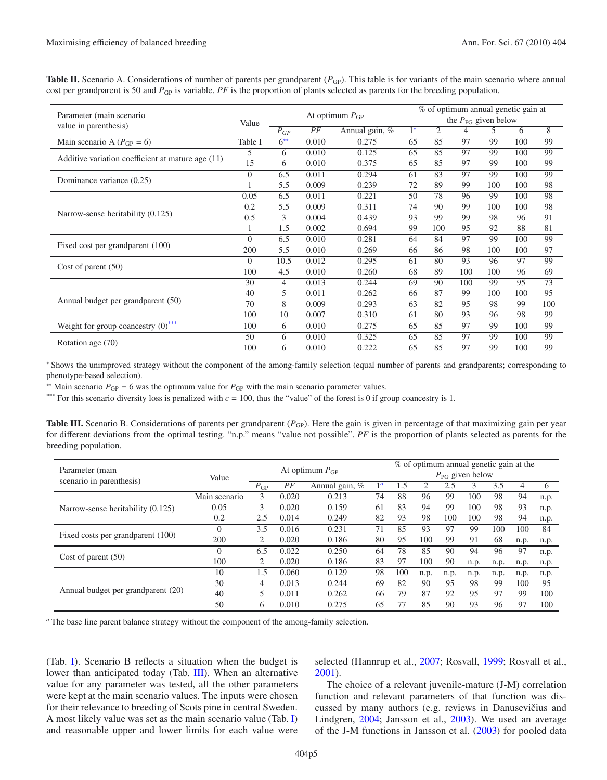<span id="page-4-0"></span>

| Parameter (main scenario                          |          | At optimum $P_{GP}$ |                      |       |                                 | % of optimum annual genetic gain at |     |     |     |     |  |  |
|---------------------------------------------------|----------|---------------------|----------------------|-------|---------------------------------|-------------------------------------|-----|-----|-----|-----|--|--|
|                                                   | Value    |                     |                      |       | the $P_{\text{PG}}$ given below |                                     |     |     |     |     |  |  |
| value in parenthesis)                             |          | $P_{GP}$            | PF<br>Annual gain, % |       | $1^*$                           | 2                                   | 4   | 5.  | 6   | 8   |  |  |
| Main scenario A ( $P_{GP} = 6$ )                  | Table I  | $6^{**}$            | 0.010                | 0.275 | 65                              | 85                                  | 97  | 99  | 100 | 99  |  |  |
|                                                   | 5        | 6                   | 0.010                | 0.125 | 65                              | 85                                  | 97  | 99  | 100 | 99  |  |  |
| Additive variation coefficient at mature age (11) | 15       | 6                   | 0.010                | 0.375 | 65                              | 85                                  | 97  | 99  | 100 | 99  |  |  |
|                                                   | $\Omega$ | 6.5                 | 0.011                | 0.294 | 61                              | 83                                  | 97  | 99  | 100 | 99  |  |  |
| Dominance variance (0.25)                         |          | 5.5                 | 0.009                | 0.239 | 72                              | 89                                  | 99  | 100 | 100 | 98  |  |  |
|                                                   | 0.05     | 6.5                 | 0.011                | 0.221 | 50                              | 78                                  | 96  | 99  | 100 | 98  |  |  |
| Narrow-sense heritability (0.125)                 | 0.2      | 5.5                 | 0.009                | 0.311 | 74                              | 90                                  | 99  | 100 | 100 | 98  |  |  |
|                                                   | 0.5      | 3                   | 0.004                | 0.439 | 93                              | 99                                  | 99  | 98  | 96  | 91  |  |  |
|                                                   |          | 1.5                 | 0.002                | 0.694 | 99                              | 100                                 | 95  | 92  | 88  | 81  |  |  |
|                                                   | $\Omega$ | 6.5                 | 0.010                | 0.281 | 64                              | 84                                  | 97  | 99  | 100 | 99  |  |  |
| Fixed cost per grandparent (100)                  | 200      | 5.5                 | 0.010                | 0.269 | 66                              | 86                                  | 98  | 100 | 100 | 97  |  |  |
|                                                   | $\Omega$ | 10.5                | 0.012                | 0.295 | 61                              | 80                                  | 93  | 96  | 97  | 99  |  |  |
| Cost of parent $(50)$                             | 100      | 4.5                 | 0.010                | 0.260 | 68                              | 89                                  | 100 | 100 | 96  | 69  |  |  |
|                                                   | 30       | $\overline{4}$      | 0.013                | 0.244 | 69                              | 90                                  | 100 | 99  | 95  | 73  |  |  |
| Annual budget per grandparent (50)                | 40       | 5                   | 0.011                | 0.262 | 66                              | 87                                  | 99  | 100 | 100 | 95  |  |  |
|                                                   | 70       | 8                   | 0.009                | 0.293 | 63                              | 82                                  | 95  | 98  | 99  | 100 |  |  |
|                                                   | 100      | 10                  | 0.007                | 0.310 | 61                              | 80                                  | 93  | 96  | 98  | 99  |  |  |
| Weight for group coancestry $(0)$ <sup>***</sup>  | 100      | 6                   | 0.010                | 0.275 | 65                              | 85                                  | 97  | 99  | 100 | 99  |  |  |
|                                                   | 50       | 6                   | 0.010                | 0.325 | 65                              | 85                                  | 97  | 99  | 100 | 99  |  |  |
| Rotation age (70)                                 | 100      | 6                   | 0.010                | 0.222 | 65                              | 85                                  | 97  | 99  | 100 | 99  |  |  |

<span id="page-4-5"></span>**Table II.** Scenario A. Considerations of number of parents per grandparent ( $P_{GP}$ ). This table is for variants of the main scenario where annual cost per grandparent is 50 and  $P_{GP}$  is variable. *PF* is the proportion of plants selected as parents for the breeding population.

<span id="page-4-4"></span><span id="page-4-2"></span><span id="page-4-1"></span><sup>∗</sup> Shows the unimproved strategy without the component of the among-family selection (equal number of parents and grandparents; corresponding to phenotype-based selection).

<sup>\*\*</sup> Main scenario  $P_{GP} = 6$  was the optimum value for  $P_{GP}$  with the main scenario parameter values.

\*\*\* For this scenario diversity loss is penalized with  $c = 100$ , thus the "value" of the forest is 0 if group coancestry is 1.

**Table III.** Scenario B. Considerations of parents per grandparent  $(P_{GP})$ . Here the gain is given in percentage of that maximizing gain per year for different deviations from the optimal testing. "n.p." means "value not possible". *PF* is the proportion of plants selected as parents for the breeding population.

<span id="page-4-3"></span>

| Parameter (main                    |               |                             |       |                |       | % of optimum annual genetic gain at the |      |      |      |      |      |      |
|------------------------------------|---------------|-----------------------------|-------|----------------|-------|-----------------------------------------|------|------|------|------|------|------|
| scenario in parenthesis)           | Value         | At optimum $P_{GP}$         |       |                |       | $P_{\rm PG}$ given below                |      |      |      |      |      |      |
|                                    |               | $P_{GP}$                    | PF    | Annual gain, % | $1^a$ | 1.5                                     |      | 2.5  | 3    | 3.5  |      |      |
| Narrow-sense heritability (0.125)  | Main scenario | 3                           | 0.020 | 0.213          | 74    | 88                                      | 96   | 99   | 100  | 98   | 94   | n.p. |
|                                    | 0.05          | 3                           | 0.020 | 0.159          | 61    | 83                                      | 94   | 99   | 100  | 98   | 93   | n.p. |
|                                    | 0.2           | 2.5                         | 0.014 | 0.249          | 82    | 93                                      | 98   | 100  | 100  | 98   | 94   | n.p. |
| Fixed costs per grandparent (100)  | $\Omega$      | 3.5                         | 0.016 | 0.231          | 71    | 85                                      | 93   | 97   | 99   | 100  | 100  | 84   |
|                                    | 200           |                             | 0.020 | 0.186          | 80    | 95                                      | 100  | 99   | 91   | 68   | n.p. | n.p. |
| Cost of parent $(50)$              | $\Omega$      | 6.5                         | 0.022 | 0.250          | 64    | 78                                      | 85   | 90   | 94   | 96   | 97   | n.p. |
|                                    | 100           | $\mathcal{D}_{\mathcal{L}}$ | 0.020 | 0.186          | 83    | 97                                      | 100  | 90   | n.p. | n.p. | n.p. | n.p. |
| Annual budget per grandparent (20) | 10            | 1.5                         | 0.060 | 0.129          | 98    | 100                                     | n.p. | n.p. | n.p. | n.p. | n.p. | n.p. |
|                                    | 30            | 4                           | 0.013 | 0.244          | 69    | 82                                      | 90   | 95   | 98   | 99   | 100  | 95   |
|                                    | 40            | 5                           | 0.011 | 0.262          | 66    | 79                                      | 87   | 92   | 95   | 97   | 99   | 100  |
|                                    | 50            | 6                           | 0.010 | 0.275          | 65    | 77                                      | 85   | 90   | 93   | 96   | 97   | 100  |

*<sup>a</sup>* The base line parent balance strategy without the component of the among-family selection.

(Tab. [I\)](#page-3-3). Scenario B reflects a situation when the budget is lower than anticipated today (Tab. [III\)](#page-4-4). When an alternative value for any parameter was tested, all the other parameters were kept at the main scenario values. The inputs were chosen for their relevance to breeding of Scots pine in central Sweden. A most likely value was set as the main scenario value (Tab. [I\)](#page-3-3) and reasonable upper and lower limits for each value were selected (Hannrup et al., [2007;](#page-8-7) Rosvall, [1999;](#page-8-2) Rosvall et al., [2001\)](#page-8-12).

The choice of a relevant juvenile-mature (J-M) correlation function and relevant parameters of that function was discussed by many authors (e.g. reviews in Danusevičius and Lindgren, [2004](#page-8-13); Jansson et al., [2003\)](#page-8-14). We used an average of the J-M functions in Jansson et al. [\(2003\)](#page-8-14) for pooled data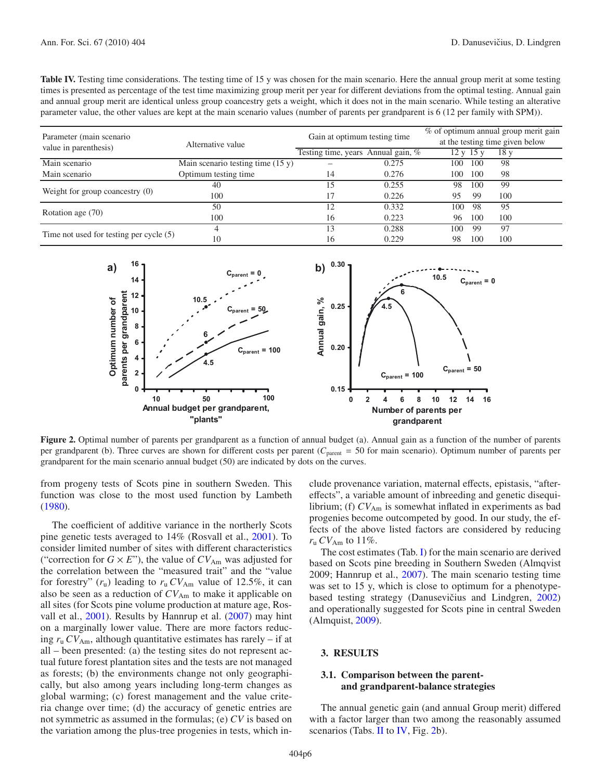<span id="page-5-0"></span>**Table IV.** Testing time considerations. The testing time of 15 y was chosen for the main scenario. Here the annual group merit at some testing times is presented as percentage of the test time maximizing group merit per year for different deviations from the optimal testing. Annual gain and annual group merit are identical unless group coancestry gets a weight, which it does not in the main scenario. While testing an alterative parameter value, the other values are kept at the main scenario values (number of parents per grandparent is 6 (12 per family with SPM)).

| Parameter (main scenario)<br>value in parenthesis) | Alternative value                   | Gain at optimum testing time       | % of optimum annual group merit gain<br>at the testing time given below |     |           |                 |  |
|----------------------------------------------------|-------------------------------------|------------------------------------|-------------------------------------------------------------------------|-----|-----------|-----------------|--|
|                                                    |                                     | Testing time, years Annual gain, % |                                                                         |     | 12 y 15 y | 18 <sub>y</sub> |  |
| Main scenario                                      | Main scenario testing time $(15 y)$ |                                    | 0.275                                                                   | 100 | 100       | -98             |  |
| Main scenario                                      | Optimum testing time                | 14                                 | 0.276                                                                   | 100 | 100       | 98              |  |
| Weight for group coancestry $(0)$                  | 40                                  | 15                                 | 0.255                                                                   | 98  | 100       | 99              |  |
|                                                    | 100                                 |                                    | 0.226                                                                   | 95  | -99       | 100             |  |
| Rotation age (70)                                  | 50                                  | 12                                 | 0.332                                                                   | 100 | -98       | 95              |  |
|                                                    | 100                                 | 16                                 | 0.223                                                                   | 96  | 100       | 100             |  |
| Time not used for testing per cycle $(5)$          |                                     | 13                                 | 0.288                                                                   | 100 | 99        | 97              |  |
|                                                    | 10                                  | 16                                 | 0.229                                                                   | 98  | 100       | 100             |  |

<span id="page-5-1"></span>

**Figure 2.** Optimal number of parents per grandparent as a function of annual budget (a). Annual gain as a function of the number of parents per grandparent (b). Three curves are shown for different costs per parent (C<sub>parent</sub> = 50 for main scenario). Optimum number of parents per grandparent for the main scenario annual budget (50) are indicated by dots on the curves.

from progeny tests of Scots pine in southern Sweden. This function was close to the most used function by Lambeth [\(1980\)](#page-8-15).

The coefficient of additive variance in the northerly Scots pine genetic tests averaged to 14% (Rosvall et al., [2001](#page-8-12)). To consider limited number of sites with different characteristics ("correction for  $G \times E$ "), the value of  $CV_{Am}$  was adjusted for the correlation between the "measured trait" and the "value for forestry"  $(r_u)$  leading to  $r_u$   $CV_{Am}$  value of 12.5%, it can also be seen as a reduction of  $CV_{Am}$  to make it applicable on all sites (for Scots pine volume production at mature age, Rosvall et al., [2001\)](#page-8-12). Results by Hannrup et al. [\(2007\)](#page-8-7) may hint on a marginally lower value. There are more factors reducing  $r_u$   $CV_{Am}$ , although quantitative estimates has rarely – if at all – been presented: (a) the testing sites do not represent actual future forest plantation sites and the tests are not managed as forests; (b) the environments change not only geographically, but also among years including long-term changes as global warming; (c) forest management and the value criteria change over time; (d) the accuracy of genetic entries are not symmetric as assumed in the formulas; (e) *CV* is based on the variation among the plus-tree progenies in tests, which include provenance variation, maternal effects, epistasis, "aftereffects", a variable amount of inbreeding and genetic disequilibrium; (f)  $CV_{Am}$  is somewhat inflated in experiments as bad progenies become outcompeted by good. In our study, the effects of the above listed factors are considered by reducing  $r_{\rm u}$  *CV*<sub>Am</sub> to 11%.

The cost estimates (Tab. [I\)](#page-3-3) for the main scenario are derived based on Scots pine breeding in Southern Sweden (Almqvist 2009; Hannrup et al., [2007](#page-8-7)). The main scenario testing time was set to 15 y, which is close to optimum for a phenotype-based testing strategy (Danusevičius and Lindgren, [2002\)](#page-8-9) and operationally suggested for Scots pine in central Sweden (Almquist, [2009\)](#page-8-16).

# **3. RESULTS**

## **3.1. Comparison between the parentand grandparent-balance strategies**

The annual genetic gain (and annual Group merit) differed with a factor larger than two among the reasonably assumed scenarios (Tabs. [II](#page-4-5) to [IV,](#page-5-0) Fig. [2b](#page-5-1)).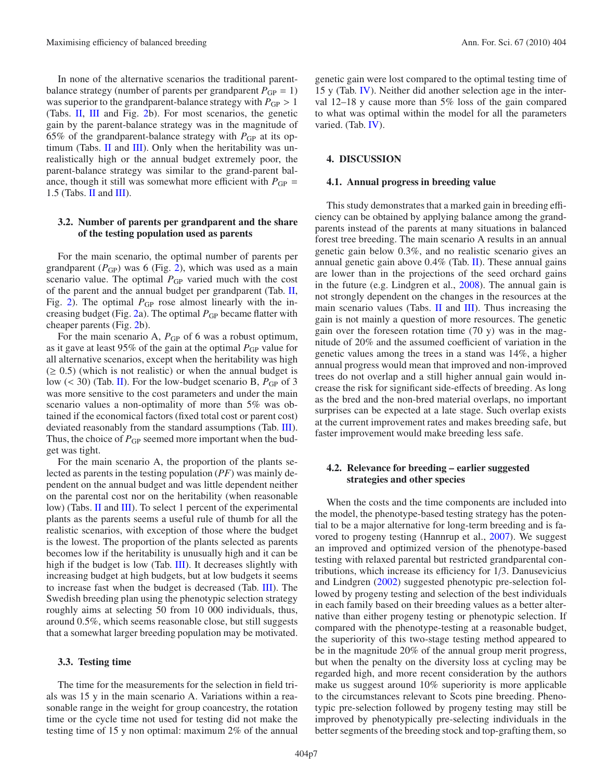In none of the alternative scenarios the traditional parentbalance strategy (number of parents per grandparent  $P_{GP} = 1$ ) was superior to the grandparent-balance strategy with  $P_{GP} > 1$ (Tabs. [II,](#page-4-5) [III](#page-4-4) and Fig. [2b](#page-5-1)). For most scenarios, the genetic gain by the parent-balance strategy was in the magnitude of 65% of the grandparent-balance strategy with  $P_{GP}$  at its optimum (Tabs.  $II$  and  $III$ ). Only when the heritability was unrealistically high or the annual budget extremely poor, the parent-balance strategy was similar to the grand-parent balance, though it still was somewhat more efficient with  $P_{GP}$  = 1.5 (Tabs. [II](#page-4-5) and [III\)](#page-4-4).

## **3.2. Number of parents per grandparent and the share of the testing population used as parents**

For the main scenario, the optimal number of parents per grandparent  $(P_{GP})$  was 6 (Fig. [2\)](#page-5-1), which was used as a main scenario value. The optimal  $P_{GP}$  varied much with the cost of the parent and the annual budget per grandparent (Tab. [II,](#page-4-5) Fig. [2\)](#page-5-1). The optimal  $P_{GP}$  rose almost linearly with the in-creasing budget (Fig. [2a](#page-5-1)). The optimal  $P_{GP}$  became flatter with cheaper parents (Fig. [2b](#page-5-1)).

For the main scenario A,  $P_{GP}$  of 6 was a robust optimum, as it gave at least 95% of the gain at the optimal  $P_{GP}$  value for all alternative scenarios, except when the heritability was high  $(\geq 0.5)$  (which is not realistic) or when the annual budget is low (< 30) (Tab. [II\)](#page-4-5). For the low-budget scenario B,  $P_{GP}$  of 3 was more sensitive to the cost parameters and under the main scenario values a non-optimality of more than 5% was obtained if the economical factors (fixed total cost or parent cost) deviated reasonably from the standard assumptions (Tab. [III\)](#page-4-4). Thus, the choice of  $P_{GP}$  seemed more important when the budget was tight.

For the main scenario A, the proportion of the plants selected as parents in the testing population (*PF*) was mainly dependent on the annual budget and was little dependent neither on the parental cost nor on the heritability (when reasonable low) (Tabs. [II](#page-4-5) and [III\)](#page-4-4). To select 1 percent of the experimental plants as the parents seems a useful rule of thumb for all the realistic scenarios, with exception of those where the budget is the lowest. The proportion of the plants selected as parents becomes low if the heritability is unusually high and it can be high if the budget is low (Tab. [III\)](#page-4-4). It decreases slightly with increasing budget at high budgets, but at low budgets it seems to increase fast when the budget is decreased (Tab. [III\)](#page-4-4). The Swedish breeding plan using the phenotypic selection strategy roughly aims at selecting 50 from 10 000 individuals, thus, around 0.5%, which seems reasonable close, but still suggests that a somewhat larger breeding population may be motivated.

#### **3.3. Testing time**

The time for the measurements for the selection in field trials was 15 y in the main scenario A. Variations within a reasonable range in the weight for group coancestry, the rotation time or the cycle time not used for testing did not make the testing time of 15 y non optimal: maximum 2% of the annual genetic gain were lost compared to the optimal testing time of 15 y (Tab. [IV\)](#page-5-0). Neither did another selection age in the interval 12–18 y cause more than 5% loss of the gain compared to what was optimal within the model for all the parameters varied. (Tab. [IV\)](#page-5-0).

#### **4. DISCUSSION**

### **4.1. Annual progress in breeding value**

This study demonstrates that a marked gain in breeding efficiency can be obtained by applying balance among the grandparents instead of the parents at many situations in balanced forest tree breeding. The main scenario A results in an annual genetic gain below 0.3%, and no realistic scenario gives an annual genetic gain above  $0.4\%$  (Tab. [II\)](#page-4-5). These annual gains are lower than in the projections of the seed orchard gains in the future (e.g. Lindgren et al., [2008\)](#page-8-10). The annual gain is not strongly dependent on the changes in the resources at the main scenario values (Tabs. [II](#page-4-5) and [III\)](#page-4-4). Thus increasing the gain is not mainly a question of more resources. The genetic gain over the foreseen rotation time  $(70 y)$  was in the magnitude of 20% and the assumed coefficient of variation in the genetic values among the trees in a stand was 14%, a higher annual progress would mean that improved and non-improved trees do not overlap and a still higher annual gain would increase the risk for significant side-effects of breeding. As long as the bred and the non-bred material overlaps, no important surprises can be expected at a late stage. Such overlap exists at the current improvement rates and makes breeding safe, but faster improvement would make breeding less safe.

# **4.2. Relevance for breeding – earlier suggested strategies and other species**

When the costs and the time components are included into the model, the phenotype-based testing strategy has the potential to be a major alternative for long-term breeding and is favored to progeny testing (Hannrup et al., [2007\)](#page-8-7). We suggest an improved and optimized version of the phenotype-based testing with relaxed parental but restricted grandparental contributions, which increase its efficiency for 1/3. Danusevicius and Lindgren [\(2002\)](#page-8-9) suggested phenotypic pre-selection followed by progeny testing and selection of the best individuals in each family based on their breeding values as a better alternative than either progeny testing or phenotypic selection. If compared with the phenotype-testing at a reasonable budget, the superiority of this two-stage testing method appeared to be in the magnitude 20% of the annual group merit progress, but when the penalty on the diversity loss at cycling may be regarded high, and more recent consideration by the authors make us suggest around 10% superiority is more applicable to the circumstances relevant to Scots pine breeding. Phenotypic pre-selection followed by progeny testing may still be improved by phenotypically pre-selecting individuals in the better segments of the breeding stock and top-grafting them, so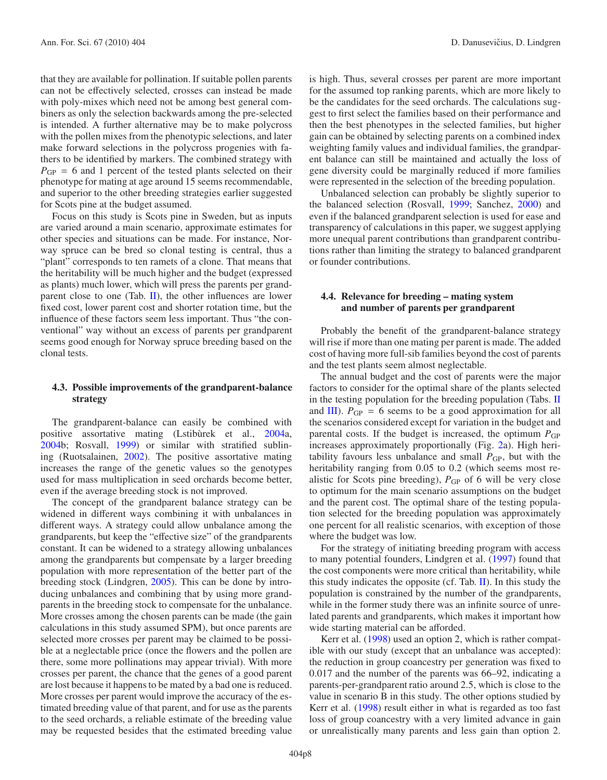that they are available for pollination. If suitable pollen parents can not be effectively selected, crosses can instead be made with poly-mixes which need not be among best general combiners as only the selection backwards among the pre-selected is intended. A further alternative may be to make polycross with the pollen mixes from the phenotypic selections, and later make forward selections in the polycross progenies with fathers to be identified by markers. The combined strategy with  $P_{GP} = 6$  and 1 percent of the tested plants selected on their phenotype for mating at age around 15 seems recommendable, and superior to the other breeding strategies earlier suggested for Scots pine at the budget assumed.

Focus on this study is Scots pine in Sweden, but as inputs are varied around a main scenario, approximate estimates for other species and situations can be made. For instance, Norway spruce can be bred so clonal testing is central, thus a "plant" corresponds to ten ramets of a clone. That means that the heritability will be much higher and the budget (expressed as plants) much lower, which will press the parents per grandparent close to one (Tab.  $\mathbf{II}$ ), the other influences are lower fixed cost, lower parent cost and shorter rotation time, but the influence of these factors seem less important. Thus "the conventional" way without an excess of parents per grandparent seems good enough for Norway spruce breeding based on the clonal tests.

# **4.3. Possible improvements of the grandparent-balance strategy**

The grandparent-balance can easily be combined with positive assortative mating (Lstibùrek et al., [2004a](#page-8-17), [2004b](#page-8-18); Rosvall, [1999\)](#page-8-2) or similar with stratified sublining (Ruotsalainen, [2002\)](#page-8-8). The positive assortative mating increases the range of the genetic values so the genotypes used for mass multiplication in seed orchards become better, even if the average breeding stock is not improved.

The concept of the grandparent balance strategy can be widened in different ways combining it with unbalances in different ways. A strategy could allow unbalance among the grandparents, but keep the "effective size" of the grandparents constant. It can be widened to a strategy allowing unbalances among the grandparents but compensate by a larger breeding population with more representation of the better part of the breeding stock (Lindgren, [2005\)](#page-8-3). This can be done by introducing unbalances and combining that by using more grandparents in the breeding stock to compensate for the unbalance. More crosses among the chosen parents can be made (the gain calculations in this study assumed SPM), but once parents are selected more crosses per parent may be claimed to be possible at a neglectable price (once the flowers and the pollen are there, some more pollinations may appear trivial). With more crosses per parent, the chance that the genes of a good parent are lost because it happens to be mated by a bad one is reduced. More crosses per parent would improve the accuracy of the estimated breeding value of that parent, and for use as the parents to the seed orchards, a reliable estimate of the breeding value may be requested besides that the estimated breeding value

is high. Thus, several crosses per parent are more important for the assumed top ranking parents, which are more likely to be the candidates for the seed orchards. The calculations suggest to first select the families based on their performance and then the best phenotypes in the selected families, but higher gain can be obtained by selecting parents on a combined index weighting family values and individual families, the grandparent balance can still be maintained and actually the loss of gene diversity could be marginally reduced if more families were represented in the selection of the breeding population.

Unbalanced selection can probably be slightly superior to the balanced selection (Rosvall, [1999;](#page-8-2) Sanchez, [2000\)](#page-8-4) and even if the balanced grandparent selection is used for ease and transparency of calculations in this paper, we suggest applying more unequal parent contributions than grandparent contributions rather than limiting the strategy to balanced grandparent or founder contributions.

# **4.4. Relevance for breeding – mating system and number of parents per grandparent**

Probably the benefit of the grandparent-balance strategy will rise if more than one mating per parent is made. The added cost of having more full-sib families beyond the cost of parents and the test plants seem almost neglectable.

The annual budget and the cost of parents were the major factors to consider for the optimal share of the plants selected in the testing population for the breeding population (Tabs. [II](#page-4-5) and [III\)](#page-4-4).  $P_{GP} = 6$  seems to be a good approximation for all the scenarios considered except for variation in the budget and parental costs. If the budget is increased, the optimum  $P_{GP}$ increases approximately proportionally (Fig. [2a](#page-5-1)). High heritability favours less unbalance and small  $P_{GP}$ , but with the heritability ranging from 0.05 to 0.2 (which seems most realistic for Scots pine breeding),  $P_{GP}$  of 6 will be very close to optimum for the main scenario assumptions on the budget and the parent cost. The optimal share of the testing population selected for the breeding population was approximately one percent for all realistic scenarios, with exception of those where the budget was low.

For the strategy of initiating breeding program with access to many potential founders, Lindgren et al. [\(1997\)](#page-8-6) found that the cost components were more critical than heritability, while this study indicates the opposite (cf. Tab.  $II$ ). In this study the population is constrained by the number of the grandparents, while in the former study there was an infinite source of unrelated parents and grandparents, which makes it important how wide starting material can be afforded.

Kerr et al. [\(1998\)](#page-8-5) used an option 2, which is rather compatible with our study (except that an unbalance was accepted): the reduction in group coancestry per generation was fixed to 0.017 and the number of the parents was 66–92, indicating a parents-per-grandparent ratio around 2.5, which is close to the value in scenario B in this study. The other options studied by Kerr et al. [\(1998\)](#page-8-5) result either in what is regarded as too fast loss of group coancestry with a very limited advance in gain or unrealistically many parents and less gain than option 2.